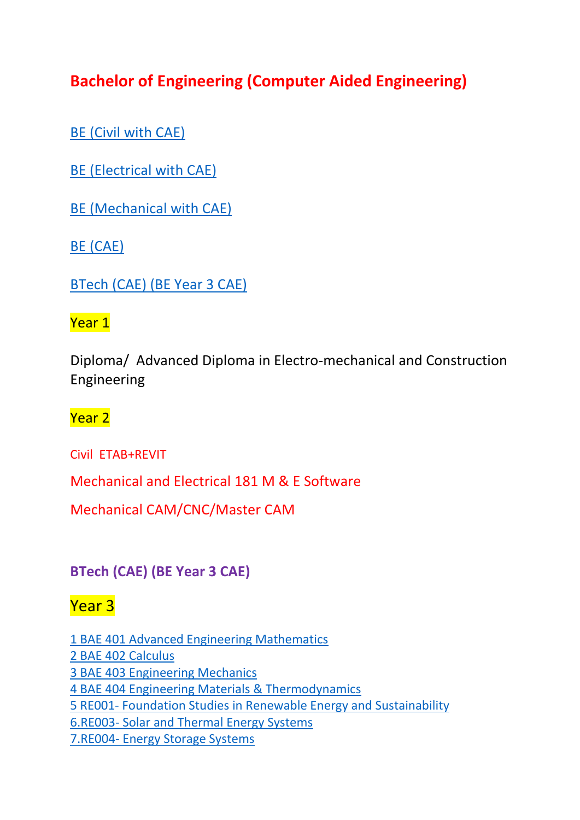# **Bachelor of Engineering (Computer Aided Engineering)**

[BE \(Civil with CAE\)](#page-5-0)

[BE \(Electrical with CAE\)](#page-5-1)

[BE \(Mechanical with CAE\)](#page-5-2)

BE [\(CAE\)](#page-5-3)

[BTech \(CAE\) \(BE Year 3 CAE\)](#page-0-0)

### Year 1

Diploma/ Advanced Diploma in Electro-mechanical and Construction Engineering

Year 2

Civil ETAB+REVIT

Mechanical and Electrical 181 M & E Software

Mechanical CAM/CNC/Master CAM

<span id="page-0-0"></span>**BTech (CAE) (BE Year 3 CAE)**

## Year 3

[1 BAE 401 Advanced Engineering Mathematics](#page-1-0)  [2 BAE 402 Calculus](#page-1-0) [3 BAE 403 Engineering Mechanics](#page-1-1) [4 BAE 404 Engineering Materials & Thermodynamics](#page-2-0) 5 RE001- [Foundation Studies in Renewable Energy and](#page-3-0) Sustainability 6.RE003- [Solar and Thermal Energy Systems](#page-3-0) 7.RE004- [Energy Storage Systems](#page-3-1)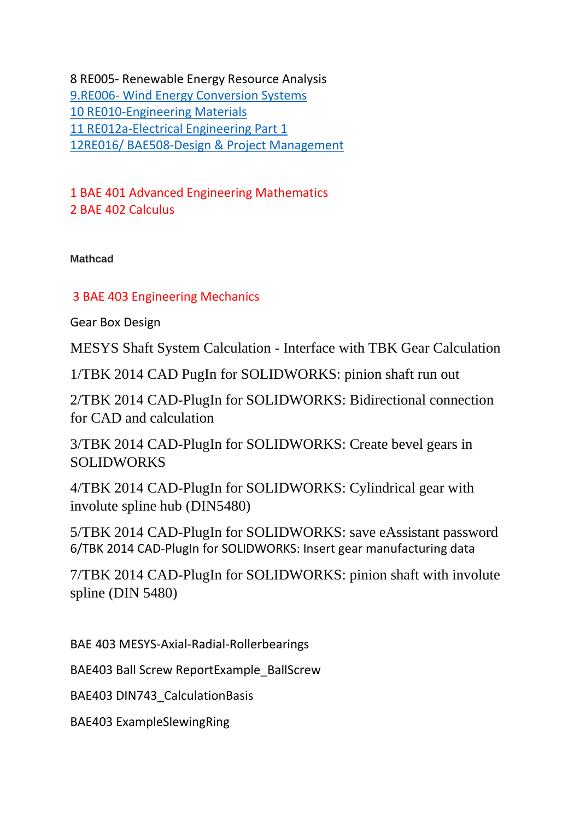8 RE005- Renewable Energy Resource Analysis 9.RE006- [Wind Energy Conversion Systems](#page-4-0) [10 RE010-Engineering Materials](#page-4-1) [11 RE012a-Electrical Engineering Part 1](#page-4-2) [12RE016/ BAE508-Design & Project Management](#page-5-4)

<span id="page-1-0"></span>1 BAE 401 Advanced Engineering Mathematics 2 BAE 402 Calculus

**Mathcad**

#### <span id="page-1-1"></span>3 BAE 403 Engineering Mechanics

Gear Box Design

MESYS Shaft System Calculation - Interface with TBK Gear Calculation

1/TBK 2014 CAD PugIn for SOLIDWORKS: pinion shaft run out

2/TBK 2014 CAD-PlugIn for SOLIDWORKS: Bidirectional connection for CAD and calculation

3/TBK 2014 CAD-PlugIn for SOLIDWORKS: Create bevel gears in SOLIDWORKS

4/TBK 2014 CAD-PlugIn for SOLIDWORKS: Cylindrical gear with involute spline hub (DIN5480)

5/TBK 2014 CAD-PlugIn for SOLIDWORKS: save eAssistant password 6/TBK 2014 CAD-PlugIn for SOLIDWORKS: Insert gear manufacturing data

7/TBK 2014 CAD-PlugIn for SOLIDWORKS: pinion shaft with involute spline (DIN 5480)

BAE 403 MESYS-Axial-Radial-Rollerbearings

BAE403 Ball Screw ReportExample\_BallScrew

BAE403 DIN743\_CalculationBasis

BAE403 ExampleSlewingRing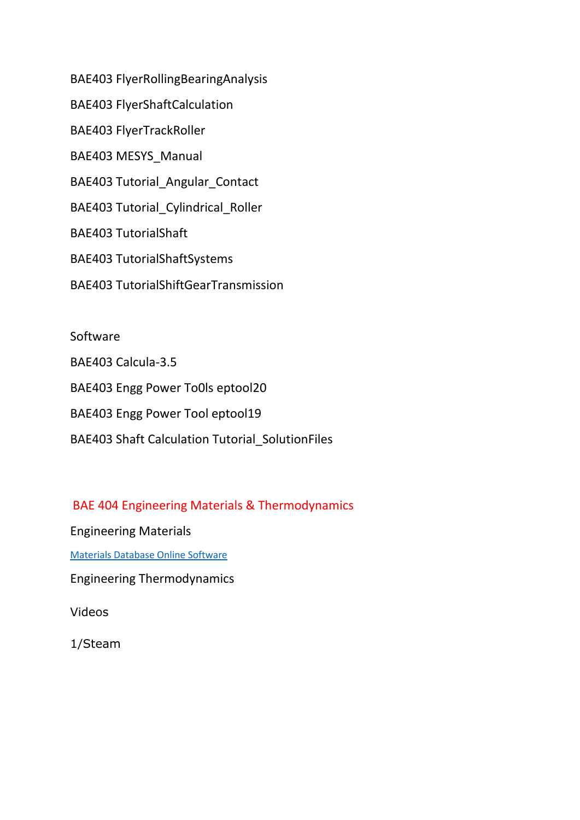BAE403 FlyerRollingBearingAnalysis BAE403 FlyerShaftCalculation BAE403 FlyerTrackRoller BAE403 MESYS\_Manual BAE403 Tutorial\_Angular\_Contact BAE403 Tutorial Cylindrical Roller BAE403 TutorialShaft BAE403 TutorialShaftSystems BAE403 TutorialShiftGearTransmission

Software BAE403 Calcula-3.5 BAE403 Engg Power To0ls eptool20 BAE403 Engg Power Tool eptool19 BAE403 Shaft Calculation Tutorial\_SolutionFiles

<span id="page-2-0"></span>BAE 404 Engineering Materials & Thermodynamics

Engineering Materials

[Materials Database Online Software](https://matmatch.com/?utm_term=material%20database%20software&utm_medium=ppc&utm_campaign=%5BSN%5BGen_001%5D:+Material&utm_source=adwords&hsa_grp=54205145180&hsa_cam=881466642&hsa_src=g&hsa_net=adwords&hsa_tgt=kwd-344639139598&hsa_ad=259828671572&hsa_mt=b&hsa_kw=material%20database%20software&hsa_ver=3&hsa_acc=2813184419&gclid=CjwKCAjw_uDsBRAMEiwAaFiHa0VxH0tu1tLuBFrQz91st78X-5UBiM72K6GxUpSPgRCjc4RZIc4xAxoCsoAQAvD_BwE)

Engineering Thermodynamics

Videos

1/Steam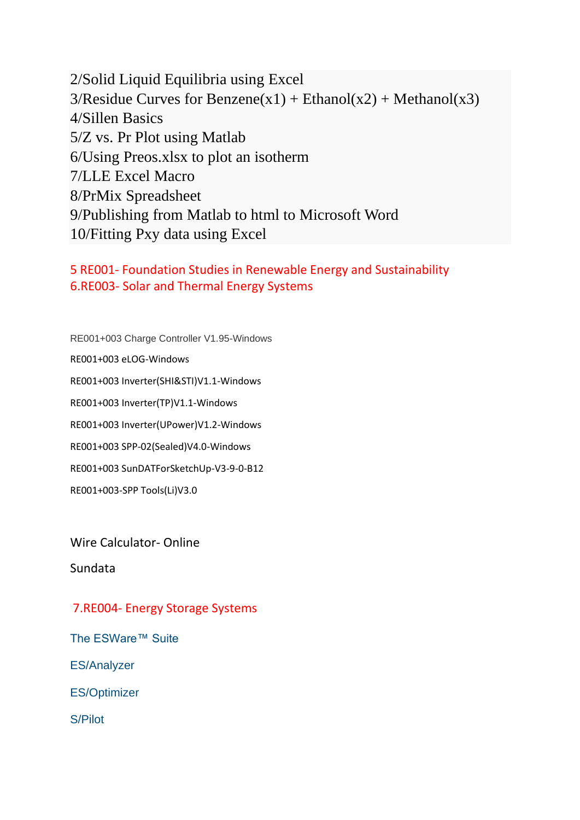2/Solid Liquid Equilibria using Excel  $3/R$ esidue Curves for Benzene(x1) + Ethanol(x2) + Methanol(x3) 4/Sillen Basics 5/Z vs. Pr Plot using Matlab 6/Using Preos.xlsx to plot an isotherm 7/LLE Excel Macro 8/PrMix Spreadsheet 9/Publishing from Matlab to html to Microsoft Word 10/Fitting Pxy data using Excel

<span id="page-3-0"></span>5 RE001- Foundation Studies in Renewable Energy and Sustainability 6.RE003- Solar and Thermal Energy Systems

RE001+003 Charge Controller V1.95-Windows RE001+003 eLOG-Windows RE001+003 Inverter(SHI&STI)V1.1-Windows RE001+003 Inverter(TP)V1.1-Windows RE001+003 Inverter(UPower)V1.2-Windows RE001+003 SPP-02(Sealed)V4.0-Windows RE001+003 SunDATForSketchUp-V3-9-0-B12 RE001+003-SPP Tools(Li)V3.0

Wire Calculator- Online

Sundata

#### <span id="page-3-1"></span>7.RE004- Energy Storage Systems

The ESWare™ Suite

ES/Analyzer

ES/Optimizer

S/Pilot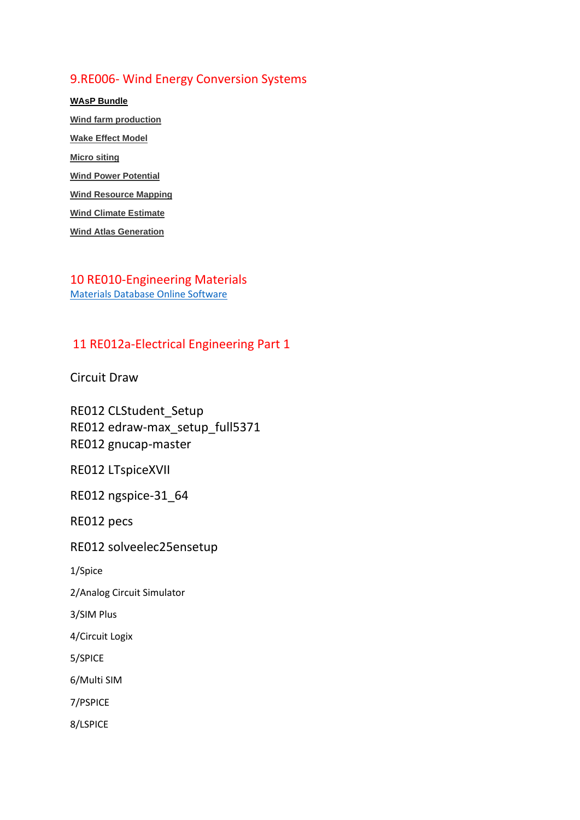#### <span id="page-4-0"></span>9.RE006- Wind Energy Conversion Systems

**[WAsP Bundle](https://www.wasp.dk/Download/WAsP12-Suite-Installer) [Wind farm production](https://www.wasp.dk/wasp/details/windfarmproduction) [Wake Effect Model](https://www.wasp.dk/wasp/details/wakeeffectmodel) [Micro siting](https://www.wasp.dk/wasp/details/micrositing) [Wind Power Potential](https://www.wasp.dk/wasp/details/windpowerpotential) [Wind Resource Mapping](https://www.wasp.dk/wasp/details/wind-resource-mapping) [Wind Climate Estimate](https://www.wasp.dk/wasp/details/wind-climate-estimate) [Wind Atlas Generation](https://www.wasp.dk/wasp/details/wind-atlas-generation)**

<span id="page-4-1"></span>10 RE010-Engineering Materials [Materials Database Online Software](https://matmatch.com/?utm_term=material%20database%20software&utm_medium=ppc&utm_campaign=%5BSN%5BGen_001%5D:+Material&utm_source=adwords&hsa_grp=54205145180&hsa_cam=881466642&hsa_src=g&hsa_net=adwords&hsa_tgt=kwd-344639139598&hsa_ad=259828671572&hsa_mt=b&hsa_kw=material%20database%20software&hsa_ver=3&hsa_acc=2813184419&gclid=CjwKCAjw_uDsBRAMEiwAaFiHa0VxH0tu1tLuBFrQz91st78X-5UBiM72K6GxUpSPgRCjc4RZIc4xAxoCsoAQAvD_BwE)

#### <span id="page-4-2"></span>11 RE012a-Electrical Engineering Part 1

Circuit Draw

RE012 CLStudent\_Setup RE012 edraw-max\_setup\_full5371 RE012 gnucap-master

RE012 LTspiceXVII

RE012 ngspice-31\_64

RE012 pecs

RE012 solveelec25ensetup

1/Spice

2/Analog Circuit Simulator

3/SIM Plus

4/Circuit Logix

5/SPICE

6/Multi SIM

7/PSPICE

8/LSPICE